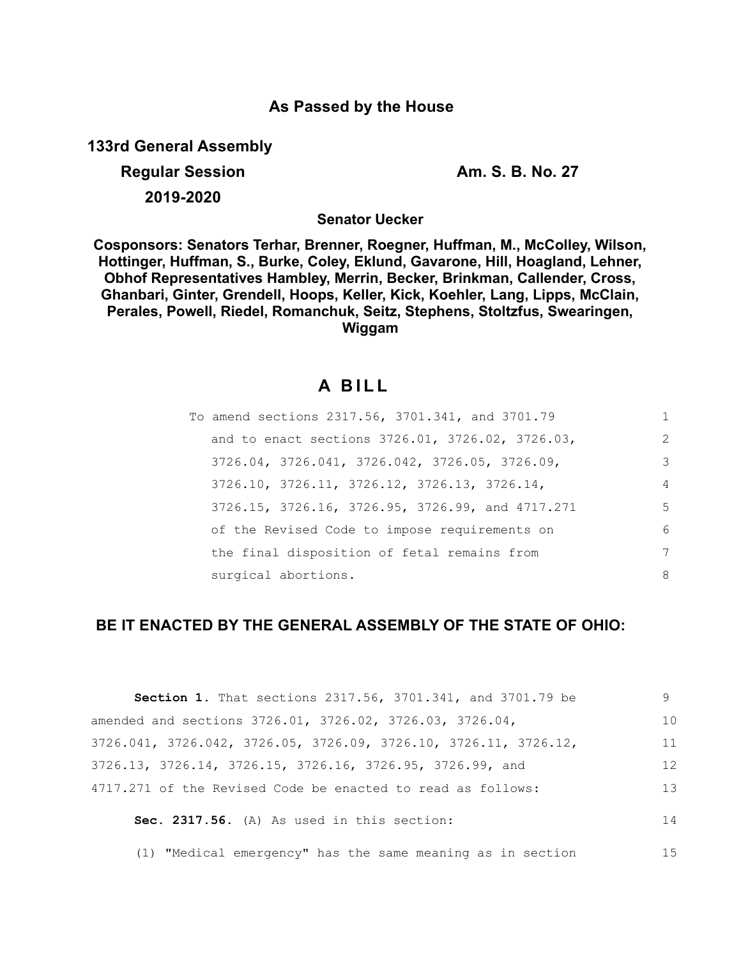# **As Passed by the House**

**133rd General Assembly**

**Regular Session Am. S. B. No. 27 2019-2020**

**Senator Uecker**

**Cosponsors: Senators Terhar, Brenner, Roegner, Huffman, M., McColley, Wilson, Hottinger, Huffman, S., Burke, Coley, Eklund, Gavarone, Hill, Hoagland, Lehner, Obhof Representatives Hambley, Merrin, Becker, Brinkman, Callender, Cross, Ghanbari, Ginter, Grendell, Hoops, Keller, Kick, Koehler, Lang, Lipps, McClain, Perales, Powell, Riedel, Romanchuk, Seitz, Stephens, Stoltzfus, Swearingen, Wiggam**

# **A B I L L**

| To amend sections 2317.56, 3701.341, and 3701.79 | 1              |
|--------------------------------------------------|----------------|
| and to enact sections 3726.01, 3726.02, 3726.03, | $\mathcal{L}$  |
| 3726.04, 3726.041, 3726.042, 3726.05, 3726.09,   | 3              |
| 3726.10, 3726.11, 3726.12, 3726.13, 3726.14,     | $\overline{4}$ |
| 3726.15, 3726.16, 3726.95, 3726.99, and 4717.271 | 5              |
| of the Revised Code to impose requirements on    | 6              |
| the final disposition of fetal remains from      | 7              |
| surgical abortions.                              | 8              |

# **BE IT ENACTED BY THE GENERAL ASSEMBLY OF THE STATE OF OHIO:**

| <b>Section 1.</b> That sections 2317.56, 3701.341, and 3701.79 be | 9. |
|-------------------------------------------------------------------|----|
| amended and sections 3726.01, 3726.02, 3726.03, 3726.04,          | 10 |
| 3726.041, 3726.042, 3726.05, 3726.09, 3726.10, 3726.11, 3726.12,  | 11 |
| 3726.13, 3726.14, 3726.15, 3726.16, 3726.95, 3726.99, and         | 12 |
| 4717.271 of the Revised Code be enacted to read as follows:       | 13 |
| Sec. 2317.56. (A) As used in this section:                        | 14 |
| (1) "Medical emergency" has the same meaning as in section        | 15 |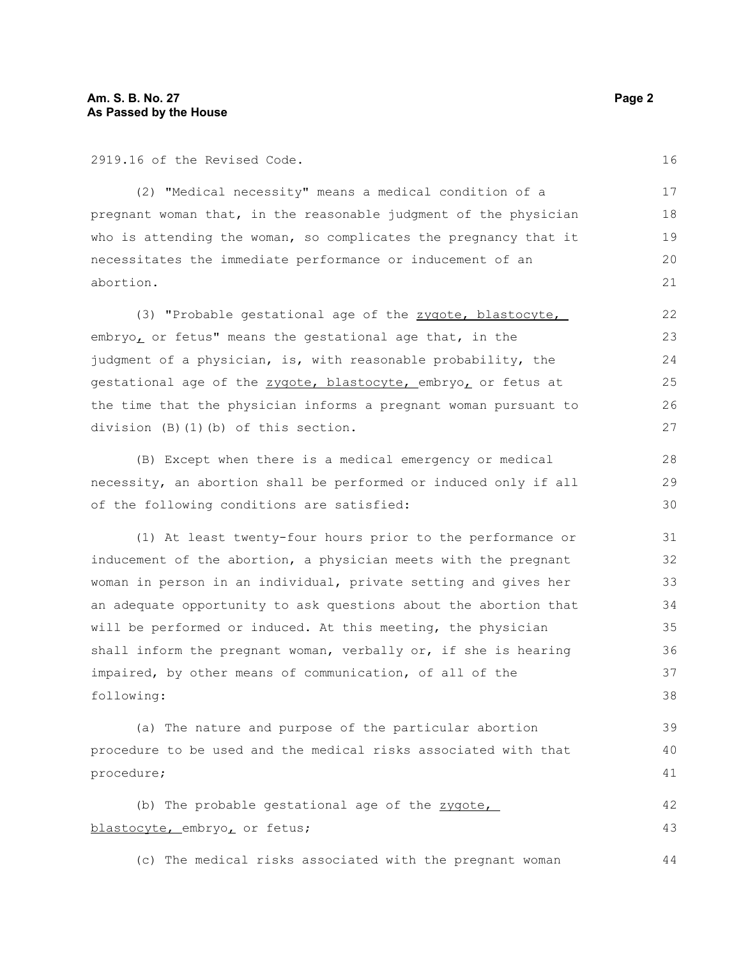2919.16 of the Revised Code.

(2) "Medical necessity" means a medical condition of a pregnant woman that, in the reasonable judgment of the physician who is attending the woman, so complicates the pregnancy that it necessitates the immediate performance or inducement of an abortion.

(3) "Probable gestational age of the zygote, blastocyte, embryo, or fetus" means the gestational age that, in the judgment of a physician, is, with reasonable probability, the gestational age of the zygote, blastocyte, embryo, or fetus at the time that the physician informs a pregnant woman pursuant to division (B)(1)(b) of this section.

(B) Except when there is a medical emergency or medical necessity, an abortion shall be performed or induced only if all of the following conditions are satisfied:

(1) At least twenty-four hours prior to the performance or inducement of the abortion, a physician meets with the pregnant woman in person in an individual, private setting and gives her an adequate opportunity to ask questions about the abortion that will be performed or induced. At this meeting, the physician shall inform the pregnant woman, verbally or, if she is hearing impaired, by other means of communication, of all of the following: 31 32 33 34 35 36 37 38

(a) The nature and purpose of the particular abortion procedure to be used and the medical risks associated with that procedure;

(b) The probable gestational age of the zygote, blastocyte, embryo, or fetus; 42 43

(c) The medical risks associated with the pregnant woman

16 17

23 24

25 26 27

28 29 30

39 40 41

44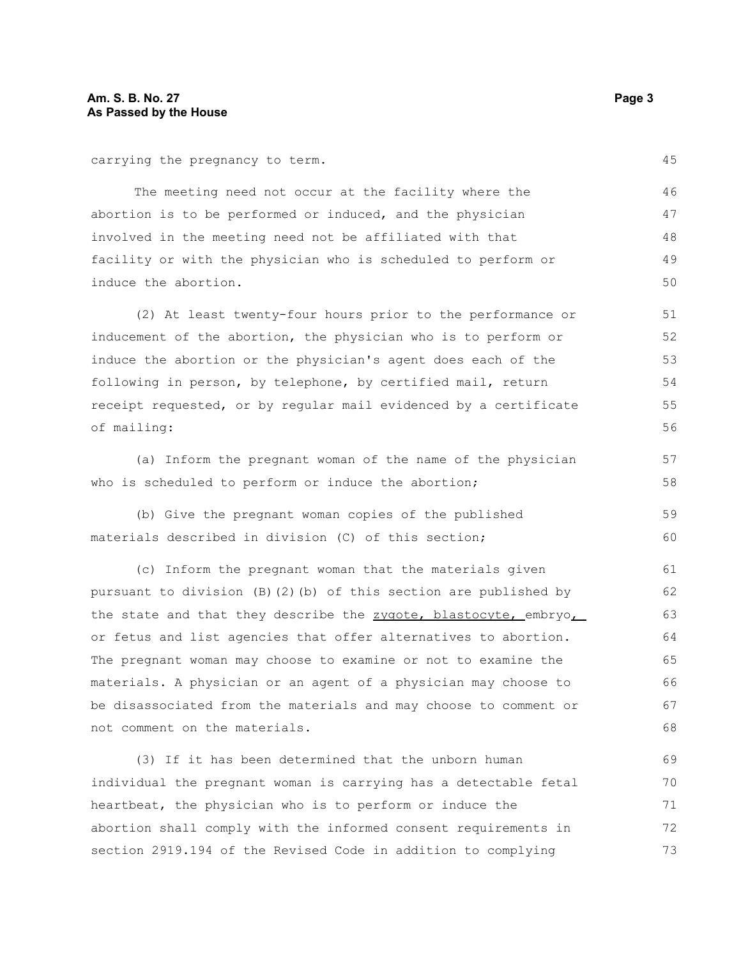carrying the pregnancy to term.

The meeting need not occur at the facility where the abortion is to be performed or induced, and the physician involved in the meeting need not be affiliated with that facility or with the physician who is scheduled to perform or induce the abortion. 46 47 48 49 50

(2) At least twenty-four hours prior to the performance or inducement of the abortion, the physician who is to perform or induce the abortion or the physician's agent does each of the following in person, by telephone, by certified mail, return receipt requested, or by regular mail evidenced by a certificate of mailing: 51 52 53 54 55 56

(a) Inform the pregnant woman of the name of the physician who is scheduled to perform or induce the abortion;

(b) Give the pregnant woman copies of the published materials described in division (C) of this section; 59 60

(c) Inform the pregnant woman that the materials given pursuant to division (B)(2)(b) of this section are published by the state and that they describe the zygote, blastocyte, embryo, or fetus and list agencies that offer alternatives to abortion. The pregnant woman may choose to examine or not to examine the materials. A physician or an agent of a physician may choose to be disassociated from the materials and may choose to comment or not comment on the materials. 61 62 63 64 65 66 67 68

(3) If it has been determined that the unborn human individual the pregnant woman is carrying has a detectable fetal heartbeat, the physician who is to perform or induce the abortion shall comply with the informed consent requirements in section 2919.194 of the Revised Code in addition to complying 69 70 71 72 73

45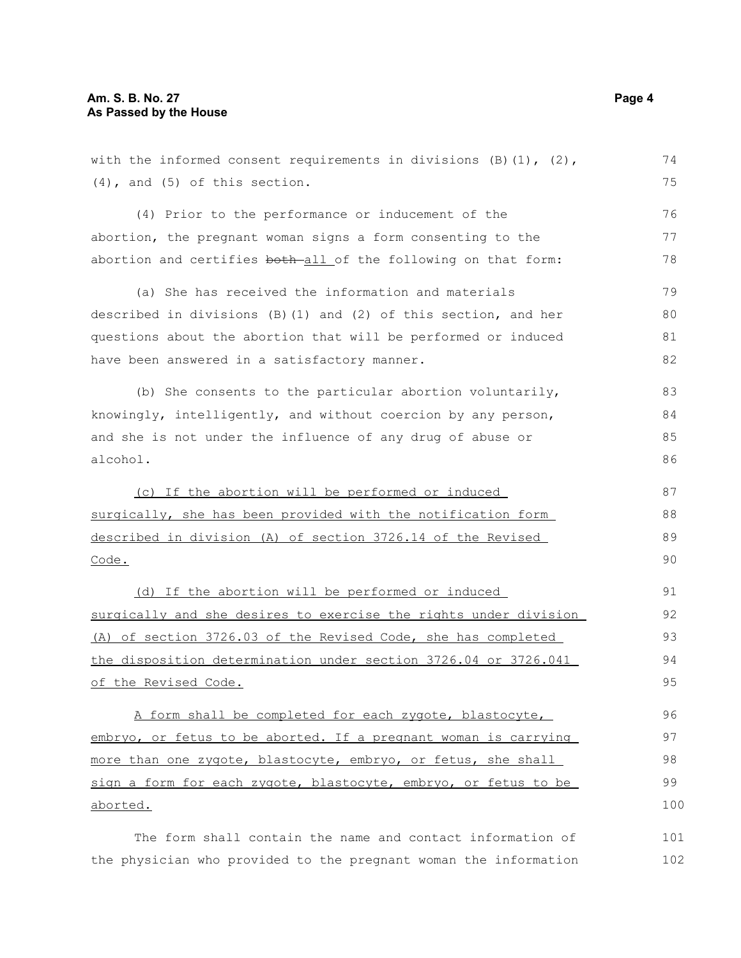| with the informed consent requirements in divisions $(B) (1)$ , $(2)$ , | 74  |
|-------------------------------------------------------------------------|-----|
| $(4)$ , and $(5)$ of this section.                                      | 75  |
| (4) Prior to the performance or inducement of the                       | 76  |
| abortion, the pregnant woman signs a form consenting to the             | 77  |
| abortion and certifies both all of the following on that form:          | 78  |
| (a) She has received the information and materials                      | 79  |
| described in divisions $(B)$ (1) and (2) of this section, and her       | 80  |
| questions about the abortion that will be performed or induced          | 81  |
| have been answered in a satisfactory manner.                            | 82  |
| (b) She consents to the particular abortion voluntarily,                | 83  |
| knowingly, intelligently, and without coercion by any person,           | 84  |
| and she is not under the influence of any drug of abuse or              | 85  |
| alcohol.                                                                | 86  |
| (c) If the abortion will be performed or induced                        | 87  |
| surgically, she has been provided with the notification form            | 88  |
| described in division (A) of section 3726.14 of the Revised             | 89  |
| Code.                                                                   | 90  |
| (d) If the abortion will be performed or induced                        | 91  |
| surgically and she desires to exercise the rights under division        | 92  |
| (A) of section 3726.03 of the Revised Code, she has completed           | 93  |
| the disposition determination under section 3726.04 or 3726.041         | 94  |
| of the Revised Code.                                                    | 95  |
| A form shall be completed for each zygote, blastocyte,                  | 96  |
| embryo, or fetus to be aborted. If a pregnant woman is carrying         | 97  |
| more than one zygote, blastocyte, embryo, or fetus, she shall           | 98  |
| sign a form for each zygote, blastocyte, embryo, or fetus to be         | 99  |
| aborted.                                                                | 100 |
| The form shall contain the name and contact information of              | 101 |

the physician who provided to the pregnant woman the information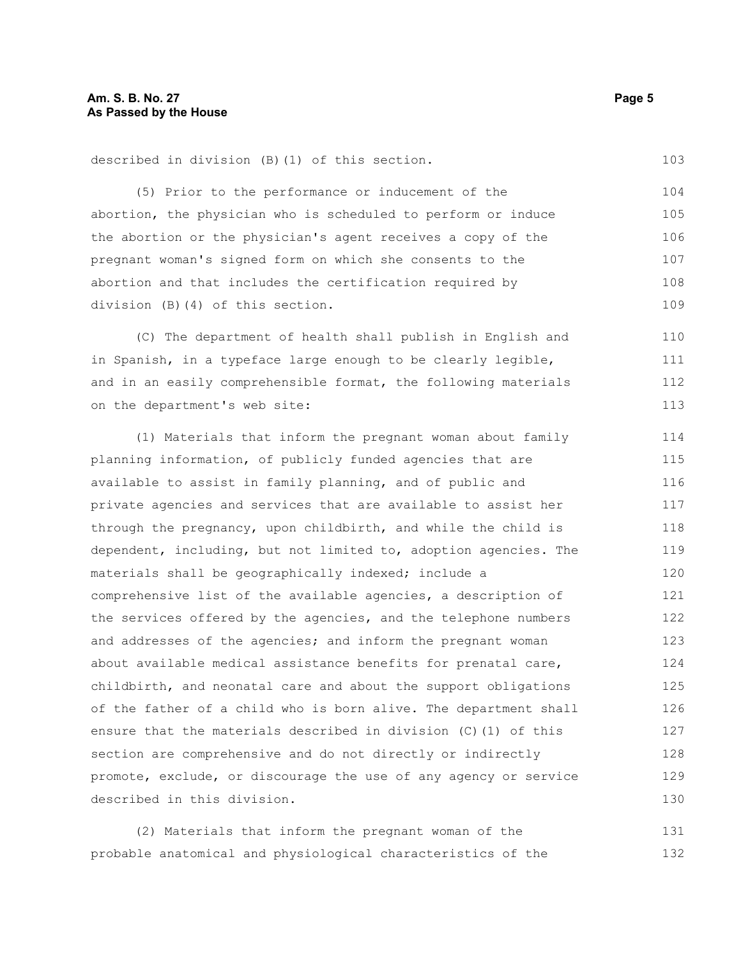(5) Prior to the performance or inducement of the abortion, the physician who is scheduled to perform or induce the abortion or the physician's agent receives a copy of the pregnant woman's signed form on which she consents to the abortion and that includes the certification required by division (B)(4) of this section. 104 105 106 107 108 109

(C) The department of health shall publish in English and in Spanish, in a typeface large enough to be clearly legible, and in an easily comprehensible format, the following materials on the department's web site: 110 111 112 113

(1) Materials that inform the pregnant woman about family planning information, of publicly funded agencies that are available to assist in family planning, and of public and private agencies and services that are available to assist her through the pregnancy, upon childbirth, and while the child is dependent, including, but not limited to, adoption agencies. The materials shall be geographically indexed; include a comprehensive list of the available agencies, a description of the services offered by the agencies, and the telephone numbers and addresses of the agencies; and inform the pregnant woman about available medical assistance benefits for prenatal care, childbirth, and neonatal care and about the support obligations of the father of a child who is born alive. The department shall ensure that the materials described in division (C)(1) of this section are comprehensive and do not directly or indirectly promote, exclude, or discourage the use of any agency or service described in this division. 114 115 116 117 118 119 120 121 122 123 124 125 126 127 128 129 130

(2) Materials that inform the pregnant woman of the probable anatomical and physiological characteristics of the 131 132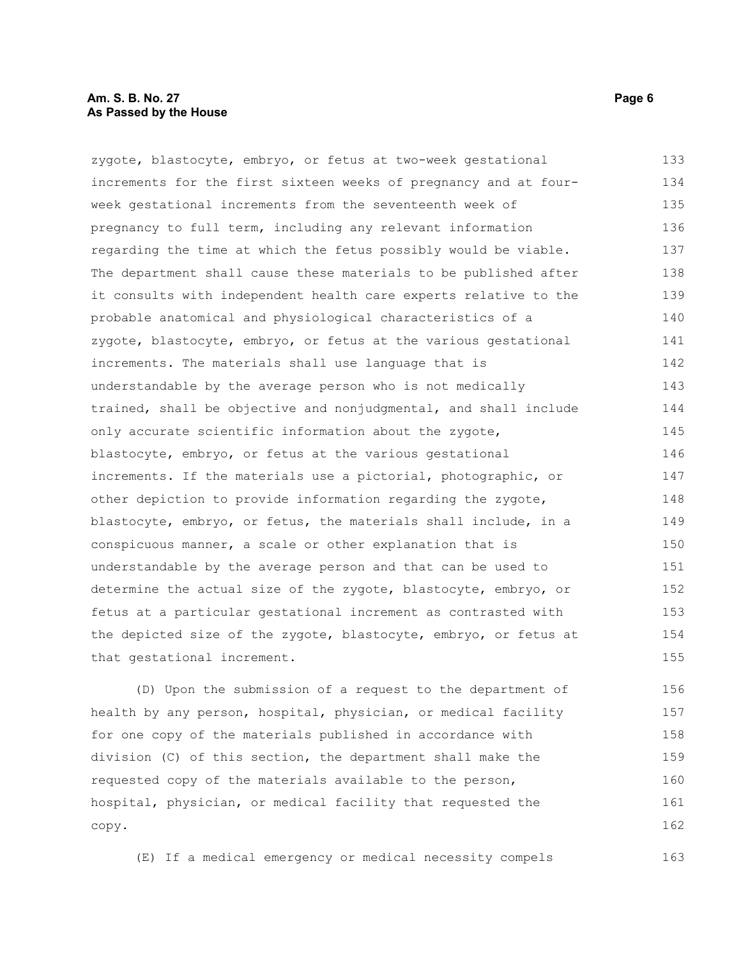zygote, blastocyte, embryo, or fetus at two-week gestational increments for the first sixteen weeks of pregnancy and at fourweek gestational increments from the seventeenth week of pregnancy to full term, including any relevant information regarding the time at which the fetus possibly would be viable. The department shall cause these materials to be published after it consults with independent health care experts relative to the probable anatomical and physiological characteristics of a zygote, blastocyte, embryo, or fetus at the various gestational increments. The materials shall use language that is understandable by the average person who is not medically trained, shall be objective and nonjudgmental, and shall include only accurate scientific information about the zygote, blastocyte, embryo, or fetus at the various gestational increments. If the materials use a pictorial, photographic, or other depiction to provide information regarding the zygote, blastocyte, embryo, or fetus, the materials shall include, in a conspicuous manner, a scale or other explanation that is understandable by the average person and that can be used to determine the actual size of the zygote, blastocyte, embryo, or fetus at a particular gestational increment as contrasted with the depicted size of the zygote, blastocyte, embryo, or fetus at that gestational increment. 133 134 135 136 137 138 139 140 141 142 143 144 145 146 147 148 149 150 151 152 153 154 155

(D) Upon the submission of a request to the department of health by any person, hospital, physician, or medical facility for one copy of the materials published in accordance with division (C) of this section, the department shall make the requested copy of the materials available to the person, hospital, physician, or medical facility that requested the copy. 156 157 158 159 160 161 162

(E) If a medical emergency or medical necessity compels 163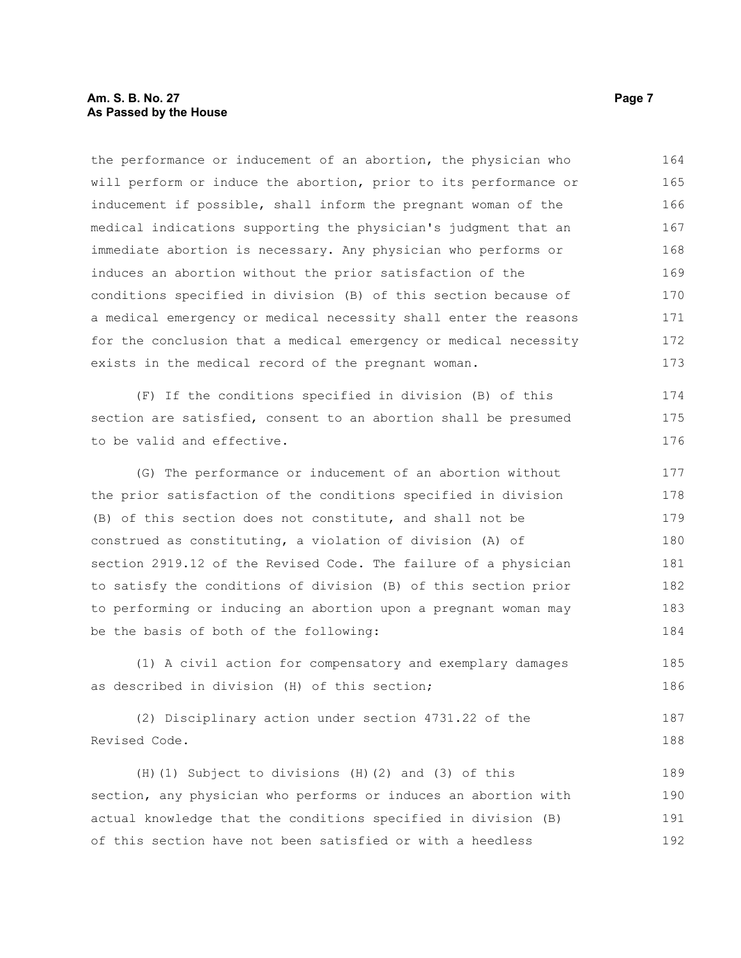## **Am. S. B. No. 27** Page 7 **As Passed by the House**

the performance or inducement of an abortion, the physician who will perform or induce the abortion, prior to its performance or inducement if possible, shall inform the pregnant woman of the medical indications supporting the physician's judgment that an immediate abortion is necessary. Any physician who performs or induces an abortion without the prior satisfaction of the conditions specified in division (B) of this section because of a medical emergency or medical necessity shall enter the reasons for the conclusion that a medical emergency or medical necessity exists in the medical record of the pregnant woman. 164 165 166 167 168 169 170 171 172 173

(F) If the conditions specified in division (B) of this section are satisfied, consent to an abortion shall be presumed to be valid and effective.

(G) The performance or inducement of an abortion without the prior satisfaction of the conditions specified in division (B) of this section does not constitute, and shall not be construed as constituting, a violation of division (A) of section 2919.12 of the Revised Code. The failure of a physician to satisfy the conditions of division (B) of this section prior to performing or inducing an abortion upon a pregnant woman may be the basis of both of the following: 177 178 179 180 181 182 183 184

(1) A civil action for compensatory and exemplary damages as described in division (H) of this section;

(2) Disciplinary action under section 4731.22 of the Revised Code. 187 188

(H)(1) Subject to divisions (H)(2) and (3) of this section, any physician who performs or induces an abortion with actual knowledge that the conditions specified in division (B) of this section have not been satisfied or with a heedless 189 190 191 192

174 175 176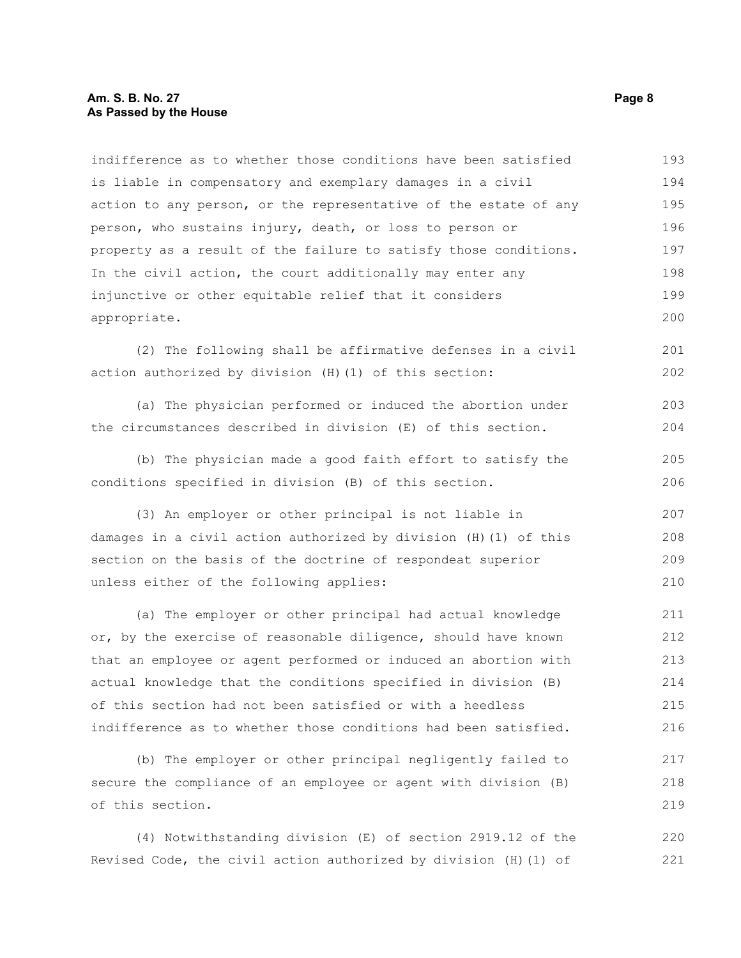## **Am. S. B. No. 27** Page 8 **As Passed by the House**

indifference as to whether those conditions have been satisfied is liable in compensatory and exemplary damages in a civil action to any person, or the representative of the estate of any person, who sustains injury, death, or loss to person or property as a result of the failure to satisfy those conditions. In the civil action, the court additionally may enter any injunctive or other equitable relief that it considers appropriate. 193 194 195 196 197 198 199 200

(2) The following shall be affirmative defenses in a civil action authorized by division (H)(1) of this section: 201 202

(a) The physician performed or induced the abortion under the circumstances described in division (E) of this section. 203 204

(b) The physician made a good faith effort to satisfy the conditions specified in division (B) of this section. 205 206

(3) An employer or other principal is not liable in damages in a civil action authorized by division (H)(1) of this section on the basis of the doctrine of respondeat superior unless either of the following applies: 207 208 209 210

(a) The employer or other principal had actual knowledge or, by the exercise of reasonable diligence, should have known that an employee or agent performed or induced an abortion with actual knowledge that the conditions specified in division (B) of this section had not been satisfied or with a heedless indifference as to whether those conditions had been satisfied. 211 212 213 214 215 216

(b) The employer or other principal negligently failed to secure the compliance of an employee or agent with division (B) of this section. 217 218 219

(4) Notwithstanding division (E) of section 2919.12 of the Revised Code, the civil action authorized by division (H)(1) of 220 221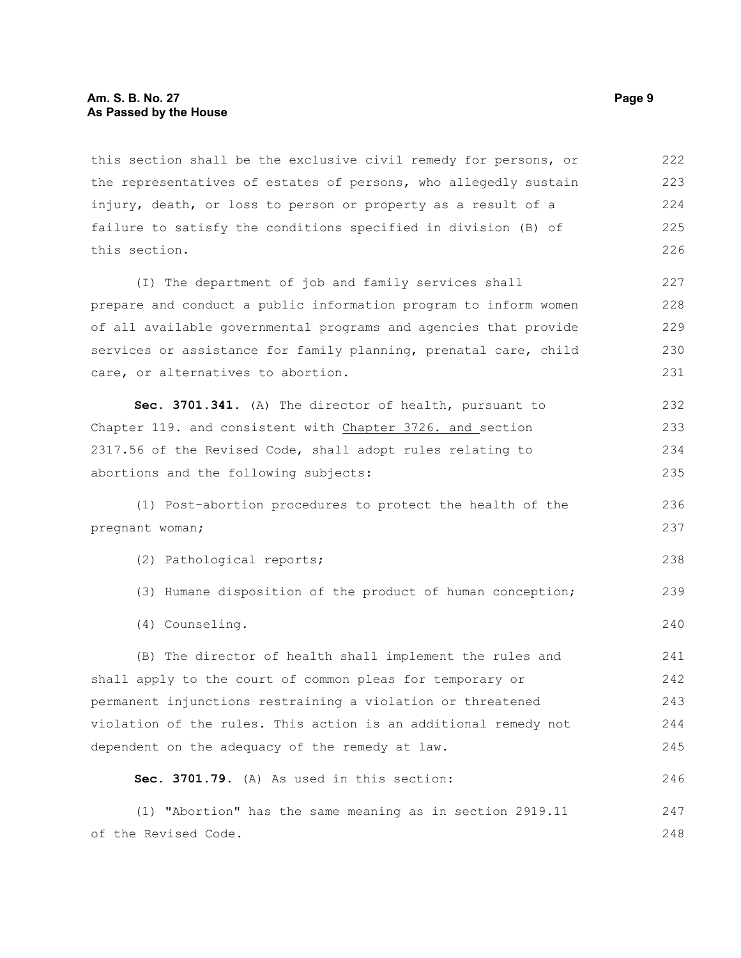## **Am. S. B. No. 27** Page 9 **As Passed by the House**

this section shall be the exclusive civil remedy for persons, or the representatives of estates of persons, who allegedly sustain injury, death, or loss to person or property as a result of a failure to satisfy the conditions specified in division (B) of this section. 222 223 224 225 226

(I) The department of job and family services shall prepare and conduct a public information program to inform women of all available governmental programs and agencies that provide services or assistance for family planning, prenatal care, child care, or alternatives to abortion. 227 228 229 230 231

**Sec. 3701.341.** (A) The director of health, pursuant to Chapter 119. and consistent with Chapter 3726. and section 2317.56 of the Revised Code, shall adopt rules relating to abortions and the following subjects: 232 233 234 235

(1) Post-abortion procedures to protect the health of the pregnant woman;

(2) Pathological reports;

- (3) Humane disposition of the product of human conception; 239
- (4) Counseling.

(B) The director of health shall implement the rules and shall apply to the court of common pleas for temporary or permanent injunctions restraining a violation or threatened violation of the rules. This action is an additional remedy not dependent on the adequacy of the remedy at law. 241 242 243 244 245

**Sec. 3701.79.** (A) As used in this section:

(1) "Abortion" has the same meaning as in section 2919.11 of the Revised Code. 247 248

236 237

238

240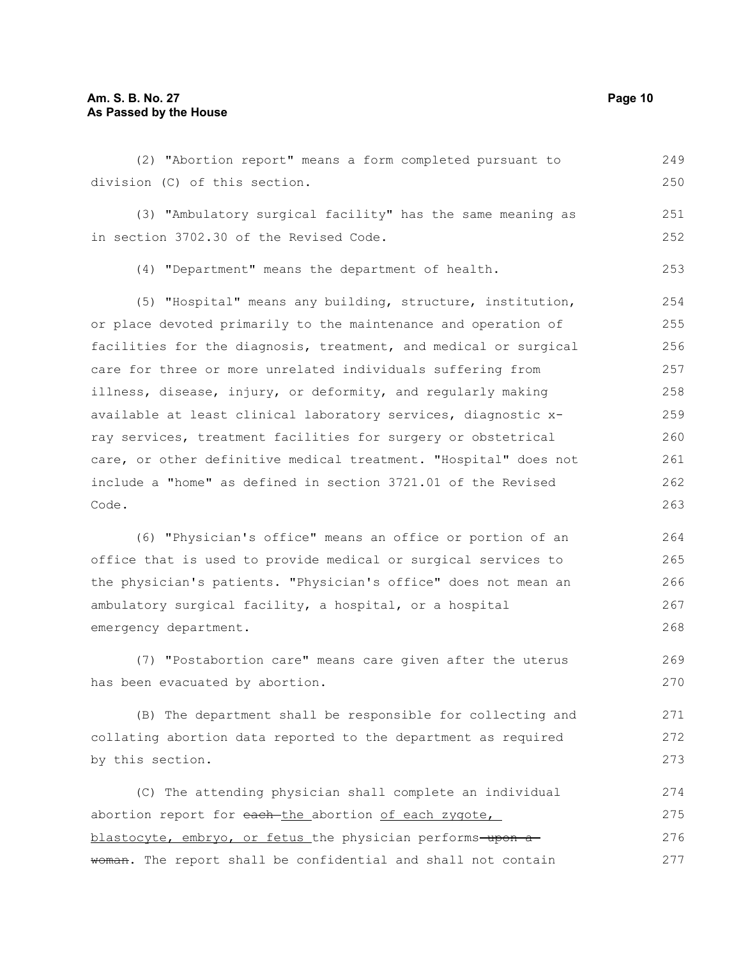(2) "Abortion report" means a form completed pursuant to division (C) of this section. (3) "Ambulatory surgical facility" has the same meaning as in section 3702.30 of the Revised Code. (4) "Department" means the department of health. (5) "Hospital" means any building, structure, institution, or place devoted primarily to the maintenance and operation of facilities for the diagnosis, treatment, and medical or surgical care for three or more unrelated individuals suffering from illness, disease, injury, or deformity, and regularly making available at least clinical laboratory services, diagnostic xray services, treatment facilities for surgery or obstetrical care, or other definitive medical treatment. "Hospital" does not include a "home" as defined in section 3721.01 of the Revised Code. (6) "Physician's office" means an office or portion of an office that is used to provide medical or surgical services to the physician's patients. "Physician's office" does not mean an ambulatory surgical facility, a hospital, or a hospital emergency department. (7) "Postabortion care" means care given after the uterus has been evacuated by abortion. (B) The department shall be responsible for collecting and collating abortion data reported to the department as required by this section. (C) The attending physician shall complete an individual 249 250 251 252 253 254 255 256 257 258 259 260 261 262 263 264 265 266 267 268 269 270 271 272 273 274

abortion report for each-the abortion of each zygote, blastocyte, embryo, or fetus the physician performs-upon awoman. The report shall be confidential and shall not contain 275 276 277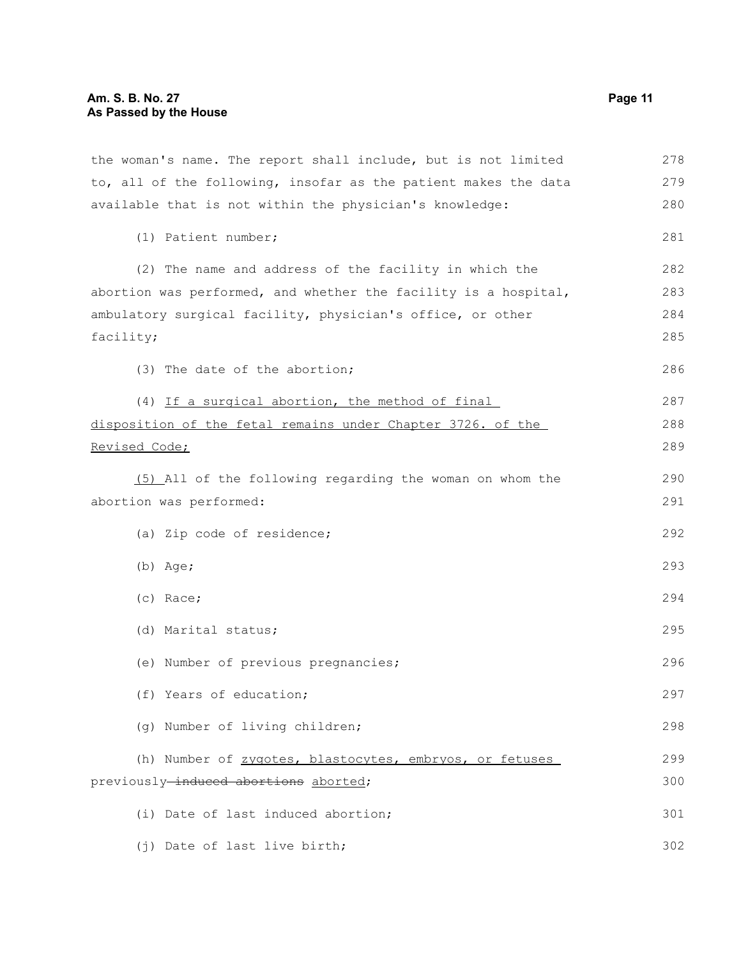the woman's name. The report shall include, but is not limited to, all of the following, insofar as the patient makes the data available that is not within the physician's knowledge: (1) Patient number; (2) The name and address of the facility in which the abortion was performed, and whether the facility is a hospital, ambulatory surgical facility, physician's office, or other facility; (3) The date of the abortion; (4) If a surgical abortion, the method of final disposition of the fetal remains under Chapter 3726. of the Revised Code; (5) All of the following regarding the woman on whom the abortion was performed: (a) Zip code of residence; (b) Age; (c) Race; (d) Marital status; (e) Number of previous pregnancies; (f) Years of education; (g) Number of living children; (h) Number of zygotes, blastocytes, embryos, or fetuses previously-induced abortions aborted; (i) Date of last induced abortion; (j) Date of last live birth; 278 279 280 281 282 283 284 285 286 287 288 289 290 291 292 293 294 295 296 297 298 299 300 301 302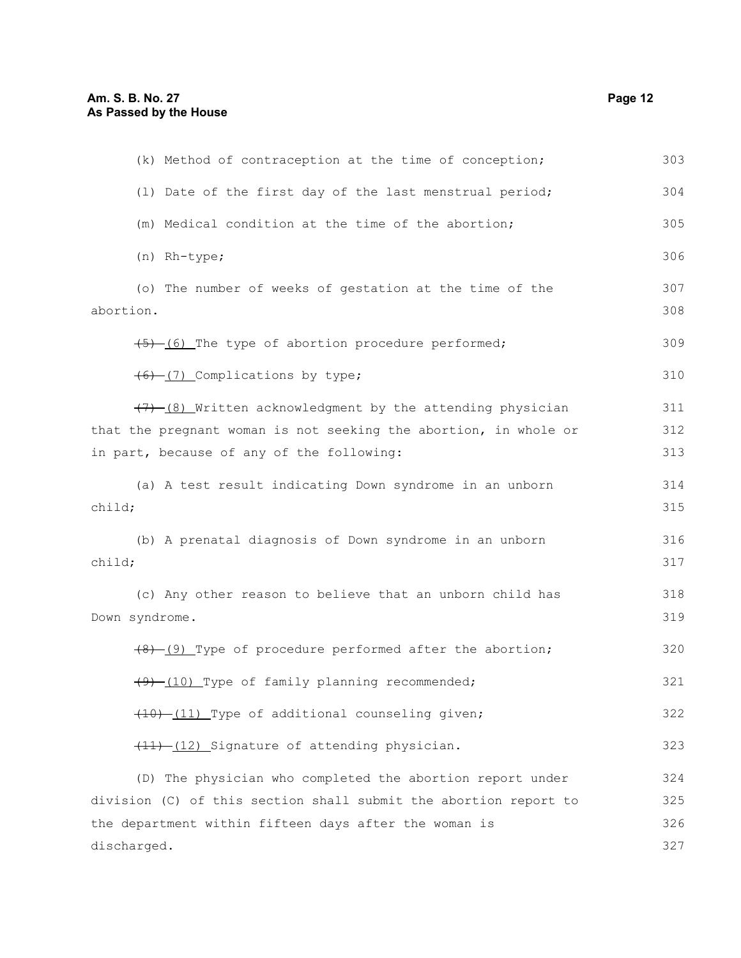| (k) Method of contraception at the time of conception;           | 303 |
|------------------------------------------------------------------|-----|
| (1) Date of the first day of the last menstrual period;          | 304 |
| (m) Medical condition at the time of the abortion;               | 305 |
| (n) Rh-type;                                                     | 306 |
| (o) The number of weeks of gestation at the time of the          | 307 |
| abortion.                                                        | 308 |
| $(5)$ (6) The type of abortion procedure performed;              | 309 |
| (6) (7) Complications by type;                                   | 310 |
| (7) (8) Written acknowledgment by the attending physician        | 311 |
| that the pregnant woman is not seeking the abortion, in whole or | 312 |
| in part, because of any of the following:                        | 313 |
| (a) A test result indicating Down syndrome in an unborn          | 314 |
| child;                                                           | 315 |
| (b) A prenatal diagnosis of Down syndrome in an unborn           | 316 |
| child;                                                           | 317 |
| (c) Any other reason to believe that an unborn child has         | 318 |
| Down syndrome.                                                   | 319 |
| $(8)$ (9) Type of procedure performed after the abortion;        | 320 |
| (9) (10) Type of family planning recommended;                    | 321 |
| (10) -(11) Type of additional counseling given;                  | 322 |
| (11) (12) Signature of attending physician.                      | 323 |
| (D) The physician who completed the abortion report under        | 324 |
| division (C) of this section shall submit the abortion report to | 325 |
| the department within fifteen days after the woman is            | 326 |
| discharged.                                                      | 327 |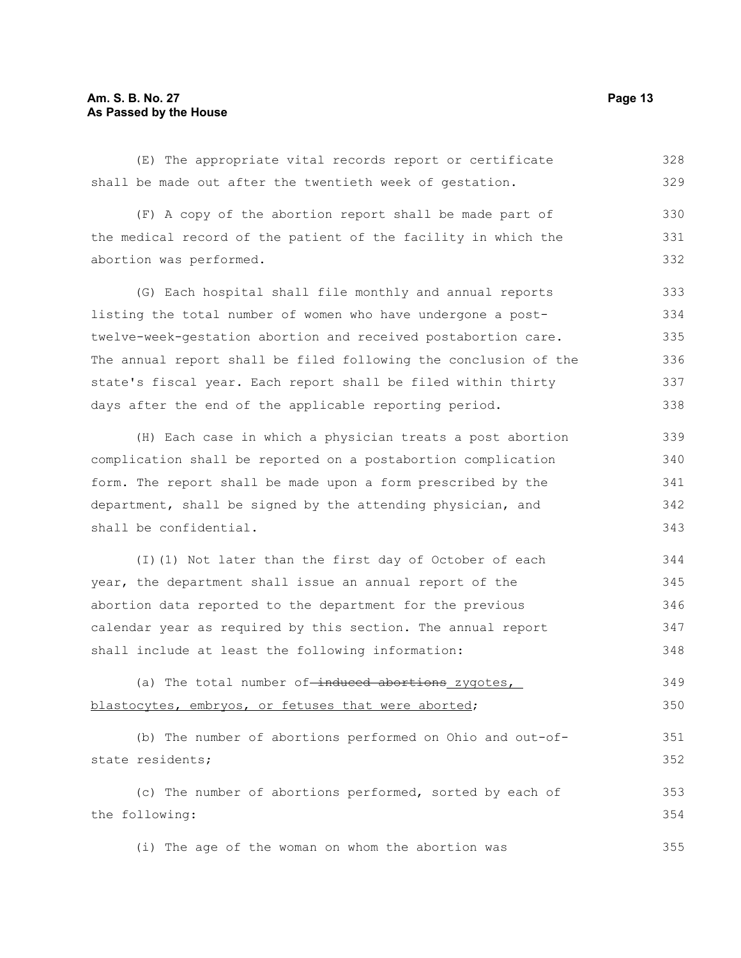## **Am. S. B. No. 27 Page 13 As Passed by the House**

(E) The appropriate vital records report or certificate shall be made out after the twentieth week of gestation. 328 329

(F) A copy of the abortion report shall be made part of the medical record of the patient of the facility in which the abortion was performed. 330 331 332

(G) Each hospital shall file monthly and annual reports listing the total number of women who have undergone a posttwelve-week-gestation abortion and received postabortion care. The annual report shall be filed following the conclusion of the state's fiscal year. Each report shall be filed within thirty days after the end of the applicable reporting period. 333 334 335 336 337 338

(H) Each case in which a physician treats a post abortion complication shall be reported on a postabortion complication form. The report shall be made upon a form prescribed by the department, shall be signed by the attending physician, and shall be confidential. 339 340 341 342 343

(I)(1) Not later than the first day of October of each year, the department shall issue an annual report of the abortion data reported to the department for the previous calendar year as required by this section. The annual report shall include at least the following information: 344 345 346 347 348

(a) The total number of-induced abortions zygotes, blastocytes, embryos, or fetuses that were aborted; 349 350

(b) The number of abortions performed on Ohio and out-ofstate residents; (c) The number of abortions performed, sorted by each of the following: 351 352 353 354

(i) The age of the woman on whom the abortion was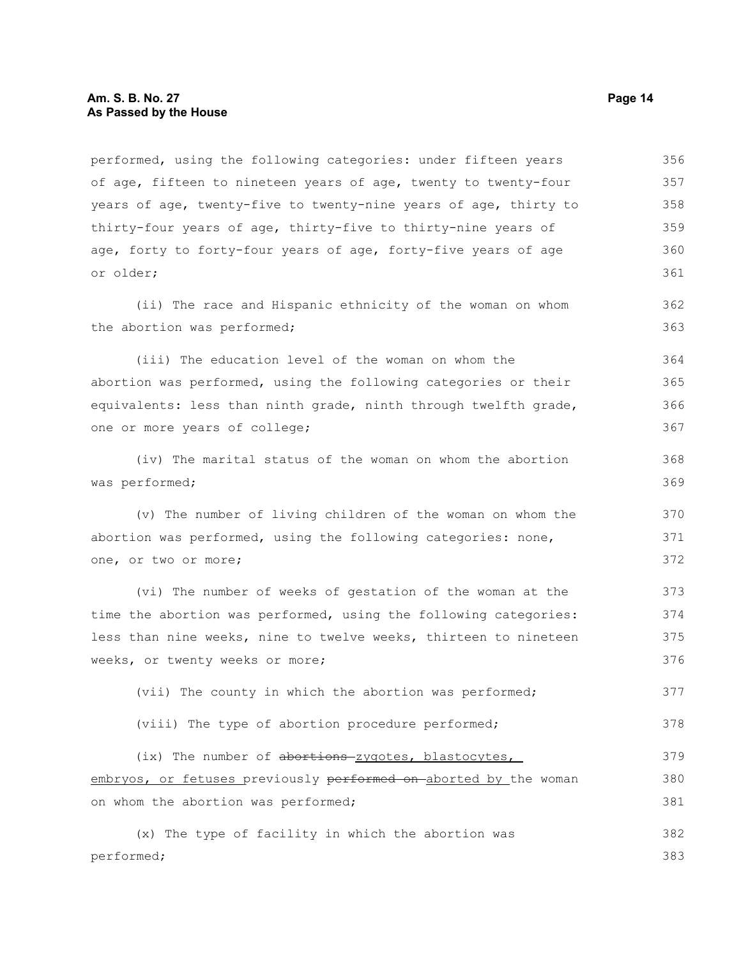performed, using the following categories: under fifteen years of age, fifteen to nineteen years of age, twenty to twenty-four years of age, twenty-five to twenty-nine years of age, thirty to thirty-four years of age, thirty-five to thirty-nine years of age, forty to forty-four years of age, forty-five years of age or older; (ii) The race and Hispanic ethnicity of the woman on whom the abortion was performed; (iii) The education level of the woman on whom the abortion was performed, using the following categories or their equivalents: less than ninth grade, ninth through twelfth grade, one or more years of college; (iv) The marital status of the woman on whom the abortion was performed; (v) The number of living children of the woman on whom the abortion was performed, using the following categories: none, one, or two or more; (vi) The number of weeks of gestation of the woman at the time the abortion was performed, using the following categories: less than nine weeks, nine to twelve weeks, thirteen to nineteen weeks, or twenty weeks or more; (vii) The county in which the abortion was performed; (viii) The type of abortion procedure performed; (ix) The number of abortions-zygotes, blastocytes, embryos, or fetuses previously performed on aborted by the woman on whom the abortion was performed; (x) The type of facility in which the abortion was performed; 356 357 358 359 360 361 362 363 364 365 366 367 368 369 370 371 372 373 374 375 376 377 378 379 380 381 382 383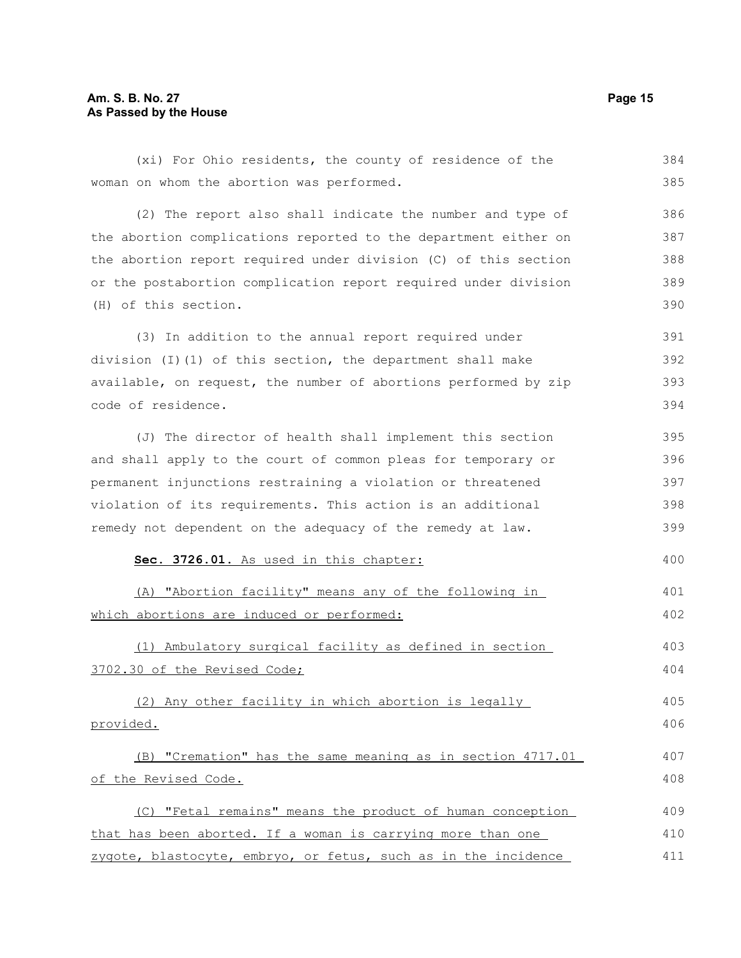| (xi) For Ohio residents, the county of residence of the         | 384 |
|-----------------------------------------------------------------|-----|
| woman on whom the abortion was performed.                       | 385 |
| (2) The report also shall indicate the number and type of       | 386 |
| the abortion complications reported to the department either on | 387 |
| the abortion report required under division (C) of this section | 388 |
| or the postabortion complication report required under division | 389 |
| (H) of this section.                                            | 390 |
| (3) In addition to the annual report required under             | 391 |
| division (I)(1) of this section, the department shall make      | 392 |
| available, on request, the number of abortions performed by zip | 393 |
| code of residence.                                              | 394 |
| (J) The director of health shall implement this section         | 395 |
| and shall apply to the court of common pleas for temporary or   | 396 |
| permanent injunctions restraining a violation or threatened     | 397 |
| violation of its requirements. This action is an additional     | 398 |
| remedy not dependent on the adequacy of the remedy at law.      | 399 |
| Sec. 3726.01. As used in this chapter:                          | 400 |
| (A) "Abortion facility" means any of the following in           | 401 |
| which abortions are induced or performed:                       | 402 |
| (1) Ambulatory surgical facility as defined in section          | 403 |
| 3702.30 of the Revised Code;                                    | 404 |
| (2) Any other facility in which abortion is legally             | 405 |
| provided.                                                       | 406 |
| (B) "Cremation" has the same meaning as in section 4717.01      | 407 |
| of the Revised Code.                                            | 408 |
| (C) "Fetal remains" means the product of human conception       | 409 |
| that has been aborted. If a woman is carrying more than one     | 410 |
| zygote, blastocyte, embryo, or fetus, such as in the incidence  | 411 |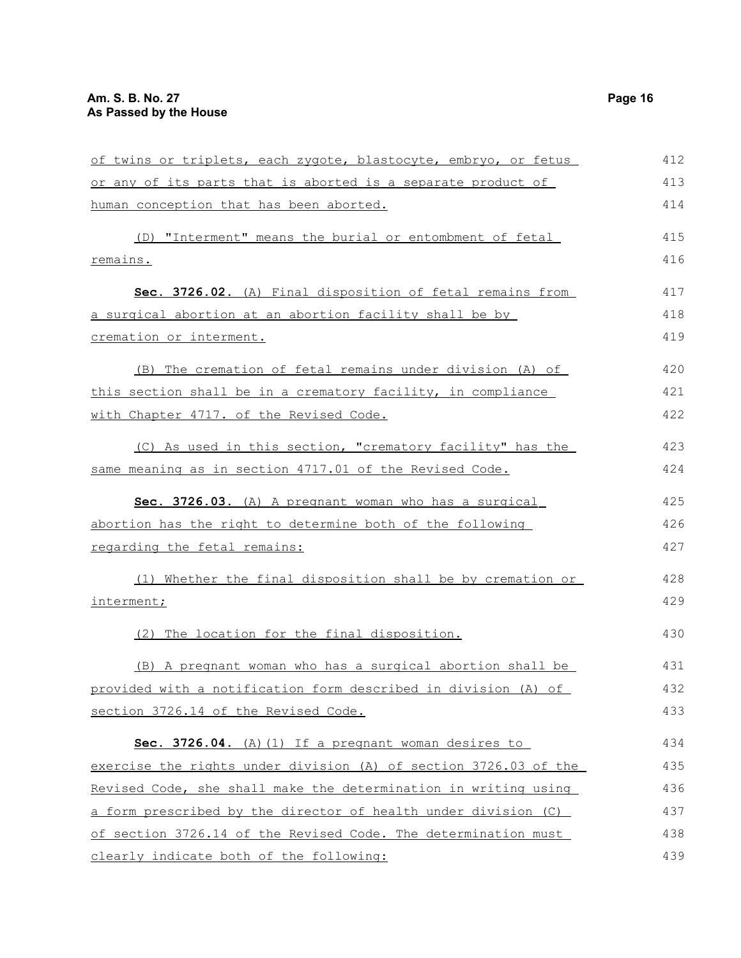| of twins or triplets, each zygote, blastocyte, embryo, or fetus  | 412 |
|------------------------------------------------------------------|-----|
| or any of its parts that is aborted is a separate product of     | 413 |
| human conception that has been aborted.                          | 414 |
| (D) "Interment" means the burial or entombment of fetal          | 415 |
| remains.                                                         | 416 |
| Sec. 3726.02. (A) Final disposition of fetal remains from        | 417 |
| a surgical abortion at an abortion facility shall be by          | 418 |
| cremation or interment.                                          | 419 |
| The cremation of fetal remains under division (A) of<br>(B)      | 420 |
| this section shall be in a crematory facility, in compliance     | 421 |
| with Chapter 4717. of the Revised Code.                          | 422 |
| (C) As used in this section, "crematory facility" has the        | 423 |
| same meaning as in section 4717.01 of the Revised Code.          | 424 |
| Sec. 3726.03. (A) A pregnant woman who has a surgical            | 425 |
| abortion has the right to determine both of the following        | 426 |
| regarding the fetal remains:                                     | 427 |
| (1) Whether the final disposition shall be by cremation or       | 428 |
| interment;                                                       | 429 |
| (2) The location for the final disposition.                      | 430 |
| (B) A pregnant woman who has a surgical abortion shall be        | 431 |
| provided with a notification form described in division (A) of   | 432 |
| section 3726.14 of the Revised Code.                             | 433 |
| Sec. 3726.04. (A) (1) If a pregnant woman desires to             | 434 |
| exercise the rights under division (A) of section 3726.03 of the | 435 |
| Revised Code, she shall make the determination in writing using  | 436 |
| a form prescribed by the director of health under division (C)   | 437 |
| of section 3726.14 of the Revised Code. The determination must   | 438 |
| clearly indicate both of the following:                          | 439 |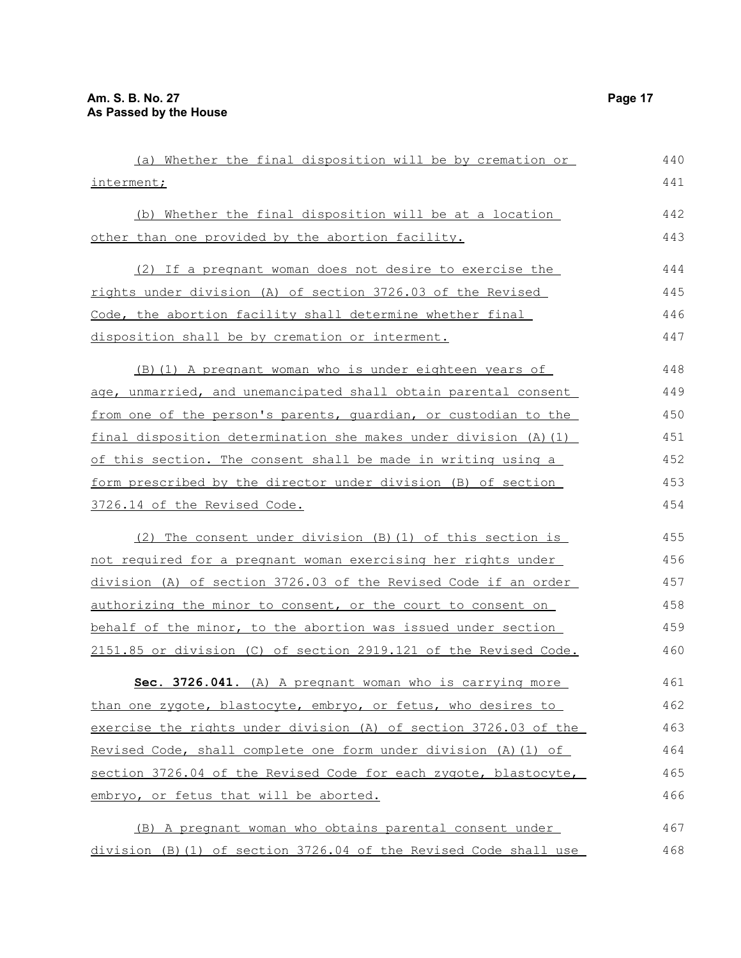| (a) Whether the final disposition will be by cremation or         | 440 |
|-------------------------------------------------------------------|-----|
| interment;                                                        | 441 |
| (b) Whether the final disposition will be at a location           | 442 |
| other than one provided by the abortion facility.                 | 443 |
| (2) If a pregnant woman does not desire to exercise the           | 444 |
| rights under division (A) of section 3726.03 of the Revised       | 445 |
| Code, the abortion facility shall determine whether final         | 446 |
| disposition shall be by cremation or interment.                   | 447 |
| (B) (1) A pregnant woman who is under eighteen years of           | 448 |
| age, unmarried, and unemancipated shall obtain parental consent   | 449 |
| from one of the person's parents, quardian, or custodian to the   | 450 |
| final disposition determination she makes under division (A) (1)  | 451 |
| of this section. The consent shall be made in writing using a     | 452 |
| form prescribed by the director under division (B) of section     | 453 |
| 3726.14 of the Revised Code.                                      | 454 |
| (2) The consent under division (B) (1) of this section is         | 455 |
| not required for a pregnant woman exercising her rights under     | 456 |
| division (A) of section 3726.03 of the Revised Code if an order   | 457 |
| authorizing the minor to consent, or the court to consent on      | 458 |
| behalf of the minor, to the abortion was issued under section     | 459 |
| 2151.85 or division (C) of section 2919.121 of the Revised Code.  | 460 |
| Sec. 3726.041. (A) A pregnant woman who is carrying more          | 461 |
| than one zygote, blastocyte, embryo, or fetus, who desires to     | 462 |
| exercise the rights under division (A) of section 3726.03 of the  | 463 |
| Revised Code, shall complete one form under division (A) (1) of   | 464 |
| section 3726.04 of the Revised Code for each zygote, blastocyte,  | 465 |
| embryo, or fetus that will be aborted.                            | 466 |
| (B) A pregnant woman who obtains parental consent under           | 467 |
| division (B) (1) of section 3726.04 of the Revised Code shall use | 468 |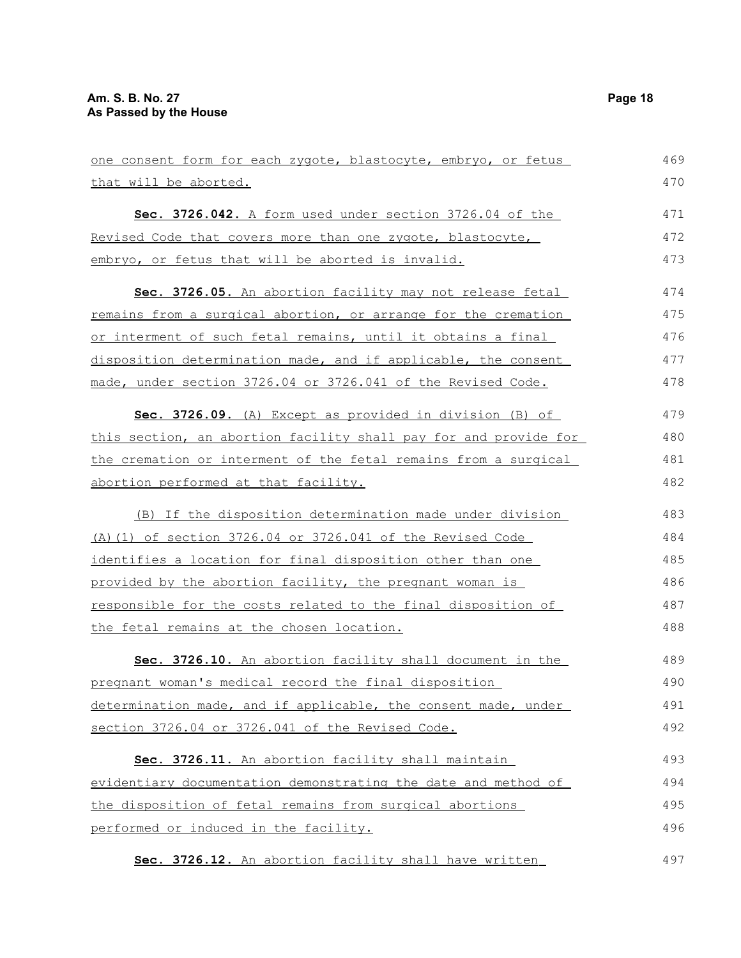| one consent form for each zygote, blastocyte, embryo, or fetus      | 469 |
|---------------------------------------------------------------------|-----|
| that will be aborted.                                               | 470 |
| Sec. 3726.042. A form used under section 3726.04 of the             | 471 |
| Revised Code that covers more than one zygote, blastocyte,          | 472 |
| embryo, or fetus that will be aborted is invalid.                   | 473 |
| Sec. 3726.05. An abortion facility may not release fetal            | 474 |
| remains from a surgical abortion, or arrange for the cremation      | 475 |
| <u>or interment of such fetal remains, until it obtains a final</u> | 476 |
| disposition determination made, and if applicable, the consent      | 477 |
| made, under section 3726.04 or 3726.041 of the Revised Code.        | 478 |
| Sec. 3726.09. (A) Except as provided in division (B) of             | 479 |
| this section, an abortion facility shall pay for and provide for    | 480 |
| the cremation or interment of the fetal remains from a surgical     | 481 |
| abortion performed at that facility.                                | 482 |
| (B) If the disposition determination made under division            | 483 |
| (A) (1) of section 3726.04 or 3726.041 of the Revised Code          | 484 |
| identifies a location for final disposition other than one          | 485 |
| provided by the abortion facility, the pregnant woman is            | 486 |
| responsible for the costs related to the final disposition of       | 487 |
| the fetal remains at the chosen location.                           | 488 |
| Sec. 3726.10. An abortion facility shall document in the            | 489 |
| pregnant woman's medical record the final disposition               | 490 |
| determination made, and if applicable, the consent made, under      | 491 |
| section 3726.04 or 3726.041 of the Revised Code.                    | 492 |
| Sec. 3726.11. An abortion facility shall maintain                   | 493 |
| evidentiary documentation demonstrating the date and method of      | 494 |
| the disposition of fetal remains from surgical abortions            | 495 |
| performed or induced in the facility.                               | 496 |
| Sec. 3726.12. An abortion facility shall have written               | 497 |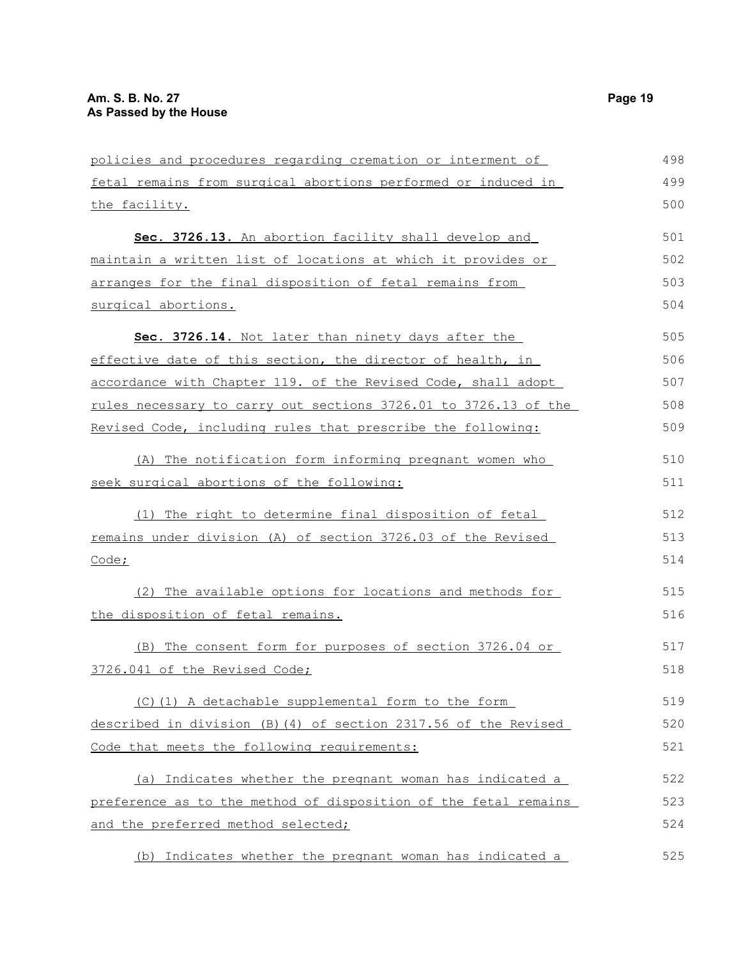| policies and procedures regarding cremation or interment of            | 498 |
|------------------------------------------------------------------------|-----|
| fetal remains from surgical abortions performed or induced in          | 499 |
| the facility.                                                          | 500 |
| Sec. 3726.13. An abortion facility shall develop and                   | 501 |
| <u>maintain a written list of locations at which it provides or </u>   | 502 |
| arranges for the final disposition of fetal remains from               | 503 |
| surgical abortions.                                                    | 504 |
| Sec. 3726.14. Not later than ninety days after the                     | 505 |
| effective date of this section, the director of health, in             | 506 |
| accordance with Chapter 119. of the Revised Code, shall adopt          | 507 |
| <u>rules necessary to carry out sections 3726.01 to 3726.13 of the</u> | 508 |
| Revised Code, including rules that prescribe the following:            | 509 |
| (A) The notification form informing pregnant women who                 | 510 |
| seek surgical abortions of the following:                              | 511 |
| (1) The right to determine final disposition of fetal                  | 512 |
| remains under division (A) of section 3726.03 of the Revised           | 513 |
| Code;                                                                  | 514 |
| (2) The available options for locations and methods for                | 515 |
| the disposition of fetal remains.                                      | 516 |
| (B) The consent form for purposes of section 3726.04 or                | 517 |
| 3726.041 of the Revised Code;                                          | 518 |
| (C)(1) A detachable supplemental form to the form                      | 519 |
| described in division (B)(4) of section 2317.56 of the Revised         | 520 |
| Code that meets the following requirements:                            | 521 |
| (a) Indicates whether the pregnant woman has indicated a               | 522 |
| preference as to the method of disposition of the fetal remains        | 523 |
| and the preferred method selected;                                     | 524 |

(b) Indicates whether the pregnant woman has indicated a 525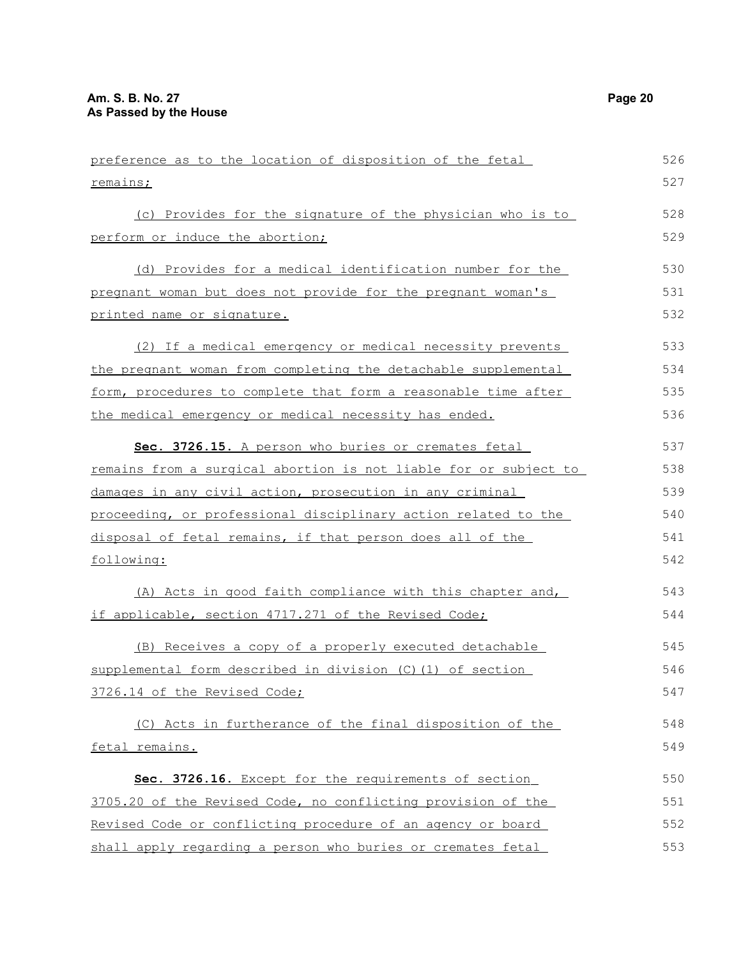perform or induce the abortion;

printed name or signature.

remains;

preference as to the location of disposition of the fetal (c) Provides for the signature of the physician who is to (d) Provides for a medical identification number for the pregnant woman but does not provide for the pregnant woman's 526 527 528 529 530 531 532

(2) If a medical emergency or medical necessity prevents the pregnant woman from completing the detachable supplemental form, procedures to complete that form a reasonable time after the medical emergency or medical necessity has ended. 533 534 535 536

 **Sec. 3726.15.** A person who buries or cremates fetal remains from a surgical abortion is not liable for or subject to damages in any civil action, prosecution in any criminal proceeding, or professional disciplinary action related to the disposal of fetal remains, if that person does all of the following: 537 538 539 540 541 542

(A) Acts in good faith compliance with this chapter and, if applicable, section 4717.271 of the Revised Code; 543 544

(B) Receives a copy of a properly executed detachable supplemental form described in division (C)(1) of section 3726.14 of the Revised Code; 545 546 547

(C) Acts in furtherance of the final disposition of the fetal remains. 548 549

 **Sec. 3726.16.** Except for the requirements of section 3705.20 of the Revised Code, no conflicting provision of the Revised Code or conflicting procedure of an agency or board shall apply regarding a person who buries or cremates fetal 550 551 552 553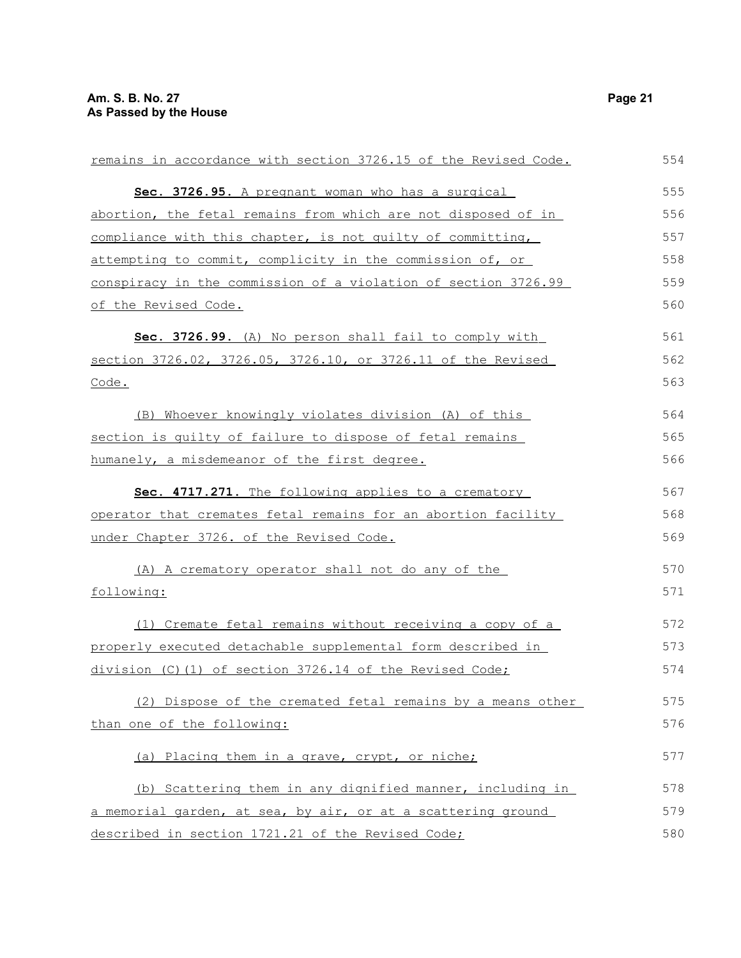| remains in accordance with section 3726.15 of the Revised Code. | 554 |
|-----------------------------------------------------------------|-----|
| Sec. 3726.95. A pregnant woman who has a surgical               | 555 |
| abortion, the fetal remains from which are not disposed of in   | 556 |
| compliance with this chapter, is not quilty of committing,      | 557 |
| attempting to commit, complicity in the commission of, or       | 558 |
| conspiracy in the commission of a violation of section 3726.99  | 559 |
| of the Revised Code.                                            | 560 |
| Sec. 3726.99. (A) No person shall fail to comply with           | 561 |
| section 3726.02, 3726.05, 3726.10, or 3726.11 of the Revised    | 562 |
| Code.                                                           | 563 |
| (B) Whoever knowingly violates division (A) of this             | 564 |
| section is quilty of failure to dispose of fetal remains        | 565 |
| humanely, a misdemeanor of the first degree.                    | 566 |
| Sec. 4717.271. The following applies to a crematory             | 567 |
| operator that cremates fetal remains for an abortion facility   | 568 |
| under Chapter 3726. of the Revised Code.                        | 569 |
| (A) A crematory operator shall not do any of the                | 570 |
| following:                                                      | 571 |
| (1) Cremate fetal remains without receiving a copy of a         | 572 |
| properly executed detachable supplemental form described in     | 573 |
| division (C)(1) of section 3726.14 of the Revised Code;         | 574 |
| (2) Dispose of the cremated fetal remains by a means other      | 575 |
| than one of the following:                                      | 576 |
| (a) Placing them in a grave, crypt, or niche;                   | 577 |
| (b) Scattering them in any dignified manner, including in       | 578 |
| a memorial garden, at sea, by air, or at a scattering ground    | 579 |
| described in section 1721.21 of the Revised Code;               | 580 |